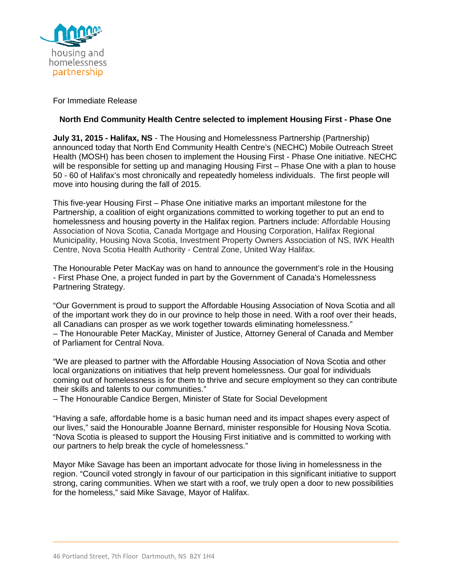

## For Immediate Release

## **North End Community Health Centre selected to implement Housing First - Phase One**

**July 31, 2015 - Halifax, NS** - The Housing and Homelessness Partnership (Partnership) announced today that North End Community Health Centre's (NECHC) Mobile Outreach Street Health (MOSH) has been chosen to implement the Housing First - Phase One initiative. NECHC will be responsible for setting up and managing Housing First – Phase One with a plan to house 50 - 60 of Halifax's most chronically and repeatedly homeless individuals. The first people will move into housing during the fall of 2015.

This five-year Housing First – Phase One initiative marks an important milestone for the Partnership, a coalition of eight organizations committed to working together to put an end to homelessness and housing poverty in the Halifax region. Partners include: Affordable Housing Association of Nova Scotia, Canada Mortgage and Housing Corporation, Halifax Regional Municipality, Housing Nova Scotia, Investment Property Owners Association of NS, IWK Health Centre, Nova Scotia Health Authority - Central Zone, United Way Halifax.

The Honourable Peter MacKay was on hand to announce the government's role in the Housing - First Phase One, a project funded in part by the Government of Canada's Homelessness Partnering Strategy.

"Our Government is proud to support the Affordable Housing Association of Nova Scotia and all of the important work they do in our province to help those in need. With a roof over their heads, all Canadians can prosper as we work together towards eliminating homelessness." – The Honourable Peter MacKay, Minister of Justice, Attorney General of Canada and Member of Parliament for Central Nova.

"We are pleased to partner with the Affordable Housing Association of Nova Scotia and other local organizations on initiatives that help prevent homelessness. Our goal for individuals coming out of homelessness is for them to thrive and secure employment so they can contribute their skills and talents to our communities."

– The Honourable Candice Bergen, Minister of State for Social Development

"Having a safe, affordable home is a basic human need and its impact shapes every aspect of our lives," said the Honourable Joanne Bernard, minister responsible for Housing Nova Scotia. "Nova Scotia is pleased to support the Housing First initiative and is committed to working with our partners to help break the cycle of homelessness."

Mayor Mike Savage has been an important advocate for those living in homelessness in the region. "Council voted strongly in favour of our participation in this significant initiative to support strong, caring communities. When we start with a roof, we truly open a door to new possibilities for the homeless," said Mike Savage, Mayor of Halifax.